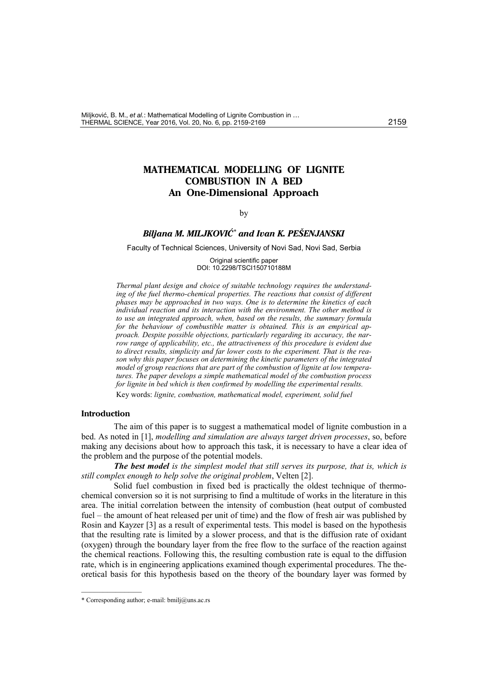# **MATHEMATICAL MODELLING OF LIGNITE COMBUSTION IN A BED An One-Dimensional Approach**

### by

## *Biljana M. MILJKOVI][\\*](#page-0-1) and Ivan K. PEŠENJANSKI*

<span id="page-0-0"></span>Faculty of Technical Sciences, University of Novi Sad, Novi Sad, Serbia

Original scientific paper DOI: 10.2298/TSCI150710188M

*Thermal plant design and choice of suitable technology requires the understanding of the fuel thermo-chemical properties. The reactions that consist of different phases may be approached in two ways. One is to determine the kinetics of each individual reaction and its interaction with the environment. The other method is to use an integrated approach, when, based on the results, the summary formula for the behaviour of combustible matter is obtained. This is an empirical approach. Despite possible objections, particularly regarding its accuracy, the narrow range of applicability, etc., the attractiveness of this procedure is evident due to direct results, simplicity and far lower costs to the experiment. That is the reason why this paper focuses on determining the kinetic parameters of the integrated model of group reactions that are part of the combustion of lignite at low temperatures. The paper develops a simple mathematical model of the combustion process for lignite in bed which is then confirmed by modelling the experimental results.*

Key words: *lignite, combustion, mathematical model, experiment, solid fuel*

#### **Introduction**

The aim of this paper is to suggest a mathematical model of lignite combustion in a bed. As noted in [1], *modelling and simulation are always target driven processes*, so, before making any decisions about how to approach this task, it is necessary to have a clear idea of the problem and the purpose of the potential models.

*The best model is the simplest model that still serves its purpose, that is, which is still complex enough to help solve the original problem*, Velten [2].

Solid fuel combustion in fixed bed is practically the oldest technique of thermochemical conversion so it is not surprising to find a multitude of works in the literature in this area. The initial correlation between the intensity of combustion (heat output of combusted fuel – the amount of heat released per unit of time) and the flow of fresh air was published by Rosin and Kayzer [3] as a result of experimental tests. This model is based on the hypothesis that the resulting rate is limited by a slower process, and that is the diffusion rate of oxidant (oxygen) through the boundary layer from the free flow to the surface of the reaction against the chemical reactions. Following this, the resulting combustion rate is equal to the diffusion rate, which is in engineering applications examined though experimental procedures. The theoretical basis for this hypothesis based on the theory of the boundary layer was formed by

––––––––––––––

<span id="page-0-1"></span><sup>\*</sup> Corresponding author; e-mail: bmilj@uns.ac.rs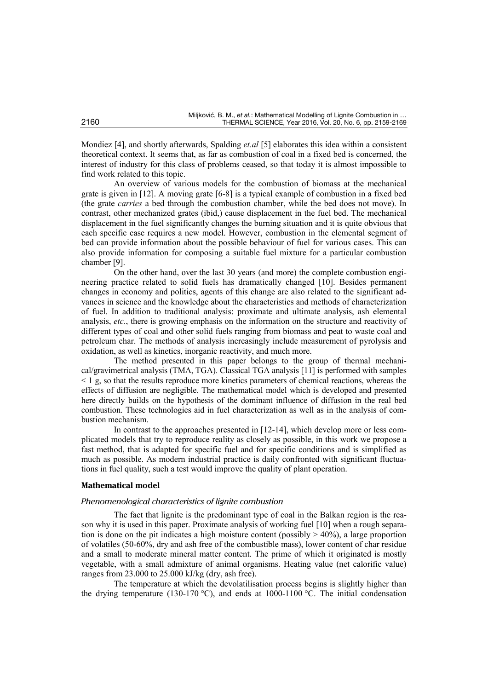Mondiez [4], and shortly afterwards, Spalding *et.al* [5] elaborates this idea within a consistent theoretical context. It seems that, as far as combustion of coal in a fixed bed is concerned, the interest of industry for this class of problems ceased, so that today it is almost impossible to find work related to this topic.

An overview of various models for the combustion of biomass at the mechanical grate is given in [12]. A moving grate [6-8] is a typical example of combustion in a fixed bed (the grate *carries* a bed through the combustion chamber, while the bed does not move). In contrast, other mechanized grates (ibid,) cause displacement in the fuel bed. The mechanical displacement in the fuel significantly changes the burning situation and it is quite obvious that each specific case requires a new model. However, combustion in the elemental segment of bed can provide information about the possible behaviour of fuel for various cases. This can also provide information for composing a suitable fuel mixture for a particular combustion chamber [9].

On the other hand, over the last 30 years (and more) the complete combustion engineering practice related to solid fuels has dramatically changed [10]. Besides permanent changes in economy and politics, agents of this change are also related to the significant advances in science and the knowledge about the characteristics and methods of characterization of fuel. In addition to traditional analysis: proximate and ultimate analysis, ash elemental analysis, *etc.*, there is growing emphasis on the information on the structure and reactivity of different types of coal and other solid fuels ranging from biomass and peat to waste coal and petroleum char. The methods of analysis increasingly include measurement of pyrolysis and oxidation, as well as kinetics, inorganic reactivity, and much more.

The method presented in this paper belongs to the group of thermal mechanical/gravimetrical analysis (TMA, TGA). Classical TGA analysis [11] is performed with samples  $\leq 1$  g, so that the results reproduce more kinetics parameters of chemical reactions, whereas the effects of diffusion are negligible. The mathematical model which is developed and presented here directly builds on the hypothesis of the dominant influence of diffusion in the real bed combustion. These technologies aid in fuel characterization as well as in the analysis of combustion mechanism.

In contrast to the approaches presented in [12-14], which develop more or less complicated models that try to reproduce reality as closely as possible, in this work we propose a fast method, that is adapted for specific fuel and for specific conditions and is simplified as much as possible. As modern industrial practice is daily confronted with significant fluctuations in fuel quality, such a test would improve the quality of plant operation.

## **Mathematical model**

## *Phenomenological characteristics of lignite combustion*

The fact that lignite is the predominant type of coal in the Balkan region is the reason why it is used in this paper. Proximate analysis of working fuel [10] when a rough separation is done on the pit indicates a high moisture content (possibly  $> 40\%$ ), a large proportion of volatiles (50-60%, dry and ash free of the combustible mass), lower content of char residue and a small to moderate mineral matter content. The prime of which it originated is mostly vegetable, with a small admixture of animal organisms. Heating value (net calorific value) ranges from 23.000 to 25.000 kJ/kg (dry, ash free).

The temperature at which the devolatilisation process begins is slightly higher than the drying temperature (130-170 °C), and ends at 1000-1100 °C. The initial condensation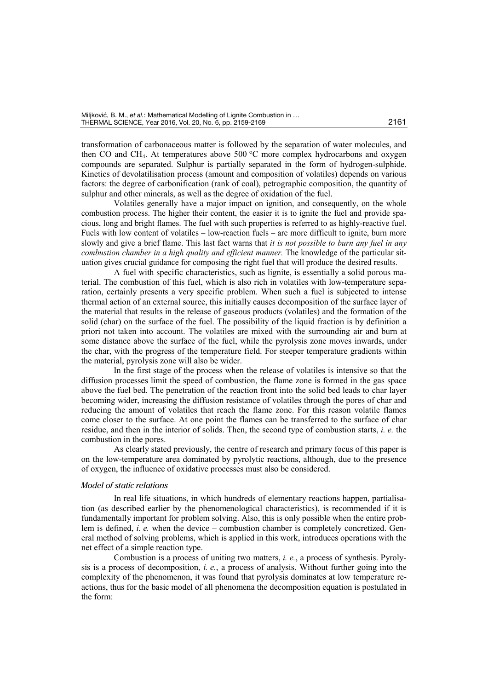transformation of carbonaceous matter is followed by the separation of water molecules, and then CO and CH<sub>4</sub>. At temperatures above 500  $\degree$ C more complex hydrocarbons and oxygen compounds are separated. Sulphur is partially separated in the form of hydrogen-sulphide. Kinetics of devolatilisation process (amount and composition of volatiles) depends on various factors: the degree of carbonification (rank of coal), petrographic composition, the quantity of sulphur and other minerals, as well as the degree of oxidation of the fuel.

Volatiles generally have a major impact on ignition, and consequently, on the whole combustion process. The higher their content, the easier it is to ignite the fuel and provide spacious, long and bright flames. The fuel with such properties is referred to as highly-reactive fuel. Fuels with low content of volatiles – low-reaction fuels – are more difficult to ignite, burn more slowly and give a brief flame. This last fact warns that *it is not possible to burn any fuel in any combustion chamber in a high quality and efficient manner.* The knowledge of the particular situation gives crucial guidance for composing the right fuel that will produce the desired results.

A fuel with specific characteristics, such as lignite, is essentially a solid porous material. The combustion of this fuel, which is also rich in volatiles with low-temperature separation, certainly presents a very specific problem. When such a fuel is subjected to intense thermal action of an external source, this initially causes decomposition of the surface layer of the material that results in the release of gaseous products (volatiles) and the formation of the solid (char) on the surface of the fuel. The possibility of the liquid fraction is by definition a priori not taken into account. The volatiles are mixed with the surrounding air and burn at some distance above the surface of the fuel, while the pyrolysis zone moves inwards, under the char, with the progress of the temperature field. For steeper temperature gradients within the material, pyrolysis zone will also be wider.

In the first stage of the process when the release of volatiles is intensive so that the diffusion processes limit the speed of combustion, the flame zone is formed in the gas space above the fuel bed. The penetration of the reaction front into the solid bed leads to char layer becoming wider, increasing the diffusion resistance of volatiles through the pores of char and reducing the amount of volatiles that reach the flame zone. For this reason volatile flames come closer to the surface. At one point the flames can be transferred to the surface of char residue, and then in the interior of solids. Then, the second type of combustion starts, *i. e.* the combustion in the pores.

As clearly stated previously, the centre of research and primary focus of this paper is on the low-temperature area dominated by pyrolytic reactions, although, due to the presence of oxygen, the influence of oxidative processes must also be considered.

## *Model of static relations*

In real life situations, in which hundreds of elementary reactions happen, partialisation (as described earlier by the phenomenological characteristics), is recommended if it is fundamentally important for problem solving. Also, this is only possible when the entire problem is defined, *i. e.* when the device – combustion chamber is completely concretized. General method of solving problems, which is applied in this work, introduces operations with the net effect of a simple reaction type.

Combustion is a process of uniting two matters, *i. e.*, a process of synthesis. Pyrolysis is a process of decomposition, *i. e.*, a process of analysis. Without further going into the complexity of the phenomenon, it was found that pyrolysis dominates at low temperature reactions, thus for the basic model of all phenomena the decomposition equation is postulated in the form: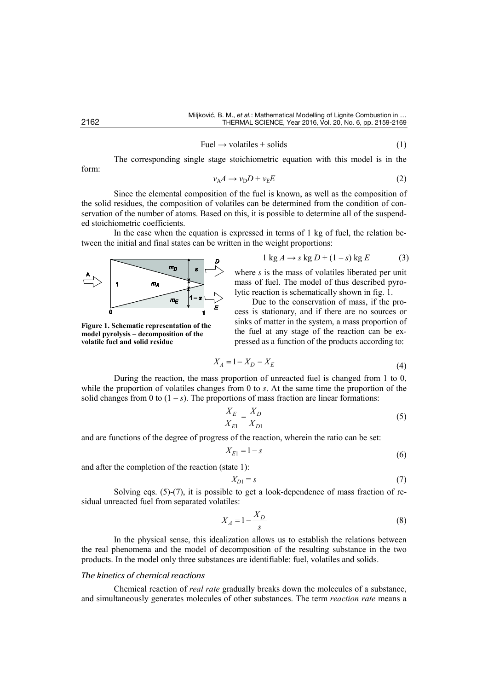$$
Full \rightarrow volatiles + solids \tag{1}
$$

The corresponding single stage stoichiometric equation with this model is in the

$$
v_A A \to v_D D + v_E E \tag{2}
$$

Since the elemental composition of the fuel is known, as well as the composition of the solid residues, the composition of volatiles can be determined from the condition of conservation of the number of atoms. Based on this, it is possible to determine all of the suspended stoichiometric coefficients.

In the case when the equation is expressed in terms of 1 kg of fuel, the relation between the initial and final states can be written in the weight proportions:



**Figure 1. Schematic representation of the model pyrolysis – decomposition of the volatile fuel and solid residue**

 $1 \text{ kg } A \rightarrow s \text{ kg } D + (1 - s) \text{ kg } E$  (3) where *s* is the mass of volatiles liberated per unit

mass of fuel. The model of thus described pyrolytic reaction is schematically shown in fig. 1.

Due to the conservation of mass, if the process is stationary, and if there are no sources or sinks of matter in the system, a mass proportion of the fuel at any stage of the reaction can be expressed as a function of the products according to:

$$
X_A = 1 - X_D - X_E \tag{4}
$$

During the reaction, the mass proportion of unreacted fuel is changed from 1 to 0, while the proportion of volatiles changes from 0 to *s*. At the same time the proportion of the solid changes from 0 to  $(1 - s)$ . The proportions of mass fraction are linear formations:

$$
\frac{X_E}{X_{E1}} = \frac{X_D}{X_{D1}}
$$
 (5)

and are functions of the degree of progress of the reaction, wherein the ratio can be set:

$$
X_{E1} = 1 - s \tag{6}
$$

and after the completion of the reaction (state 1):

$$
X_{D1} = s \tag{7}
$$

Solving eqs.  $(5)-(7)$ , it is possible to get a look-dependence of mass fraction of residual unreacted fuel from separated volatiles:

$$
X_A = 1 - \frac{X_D}{s} \tag{8}
$$

In the physical sense, this idealization allows us to establish the relations between the real phenomena and the model of decomposition of the resulting substance in the two products. In the model only three substances are identifiable: fuel, volatiles and solids.

## *The kinetics of chemical reactions*

Chemical reaction of *real rate* gradually breaks down the molecules of a substance, and simultaneously generates molecules of other substances. The term *reaction rate* means a

form: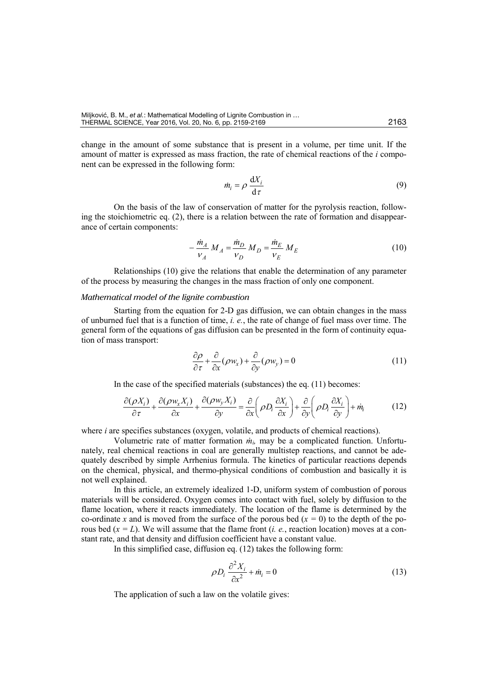change in the amount of some substance that is present in a volume, per time unit. If the amount of matter is expressed as mass fraction, the rate of chemical reactions of the *i* component can be expressed in the following form:

$$
\dot{m}_i = \rho \, \frac{\mathrm{d}X_i}{\mathrm{d}\,\tau} \tag{9}
$$

On the basis of the law of conservation of matter for the pyrolysis reaction, following the stoichiometric eq. (2), there is a relation between the rate of formation and disappearance of certain components:

$$
-\frac{\dot{m}_A}{v_A} M_A = \frac{\dot{m}_D}{v_D} M_D = \frac{\dot{m}_E}{v_E} M_E
$$
 (10)

Relationships (10) give the relations that enable the determination of any parameter of the process by measuring the changes in the mass fraction of only one component.

## *Mathematical model of the lignite combustion*

Starting from the equation for 2-D gas diffusion, we can obtain changes in the mass of unburned fuel that is a function of time, *i. e.*, the rate of change of fuel mass over time. The general form of the equations of gas diffusion can be presented in the form of continuity equation of mass transport:

$$
\frac{\partial \rho}{\partial \tau} + \frac{\partial}{\partial x} (\rho w_x) + \frac{\partial}{\partial y} (\rho w_y) = 0 \tag{11}
$$

In the case of the specified materials (substances) the eq. (11) becomes:

$$
\frac{\partial(\rho X_i)}{\partial \tau} + \frac{\partial(\rho w_x X_i)}{\partial x} + \frac{\partial(\rho w_y X_i)}{\partial y} = \frac{\partial}{\partial x} \left(\rho D_i \frac{\partial X_i}{\partial x}\right) + \frac{\partial}{\partial y} \left(\rho D_i \frac{\partial X_i}{\partial y}\right) + \dot{m}_i
$$
(12)

where *i* are specifies substances (oxygen, volatile, and products of chemical reactions).

Volumetric rate of matter formation *ṁi,* may be a complicated function. Unfortunately, real chemical reactions in coal are generally multistep reactions, and cannot be adequately described by simple Arrhenius formula. The kinetics of particular reactions depends on the chemical, physical, and thermo-physical conditions of combustion and basically it is not well explained.

In this article, an extremely idealized 1-D, uniform system of combustion of porous materials will be considered. Oxygen comes into contact with fuel, solely by diffusion to the flame location, where it reacts immediately. The location of the flame is determined by the co-ordinate *x* and is moved from the surface of the porous bed  $(x = 0)$  to the depth of the porous bed  $(x = L)$ . We will assume that the flame front *(i. e.*, reaction location) moves at a constant rate, and that density and diffusion coefficient have a constant value.

In this simplified case, diffusion eq. (12) takes the following form:

$$
\rho D_i \frac{\partial^2 X_i}{\partial x^2} + \dot{m}_i = 0 \tag{13}
$$

The application of such a law on the volatile gives: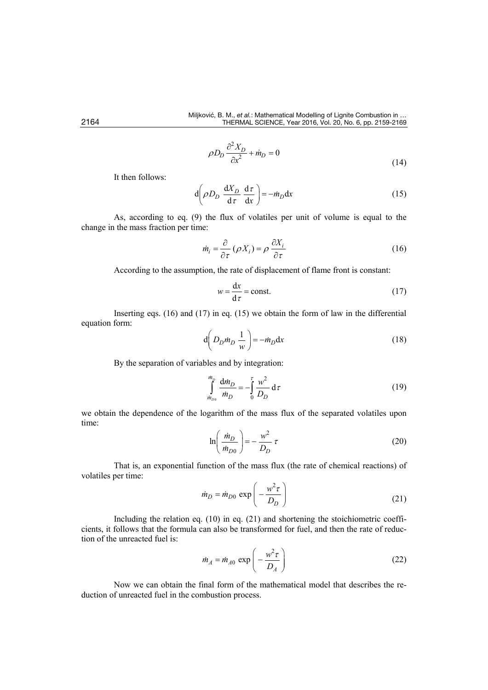$$
\rho D_D \frac{\partial^2 X_D}{\partial x^2} + \dot{m}_D = 0
$$
\n(14)

It then follows:

$$
d\left(\rho D_D \frac{dX_D}{d\tau} \frac{d\tau}{dx}\right) = -\dot{m}_D dx
$$
 (15)

As, according to eq. (9) the flux of volatiles per unit of volume is equal to the change in the mass fraction per time:

$$
\dot{m}_i = \frac{\partial}{\partial \tau} (\rho X_i) = \rho \frac{\partial X_i}{\partial \tau}
$$
\n(16)

According to the assumption, the rate of displacement of flame front is constant:

$$
w = \frac{\mathrm{d}x}{\mathrm{d}\,\tau} = \text{const.}\tag{17}
$$

Inserting eqs. (16) and (17) in eq. (15) we obtain the form of law in the differential equation form:

$$
d\left(D_D m_D \frac{1}{w}\right) = -m_D dx
$$
 (18)

By the separation of variables and by integration:

$$
\int_{\dot{m}_{D_0}}^{\dot{m}_D} \frac{d\dot{m}_D}{\dot{m}_D} = -\int_0^{\tau} \frac{w^2}{D_D} d\tau
$$
 (19)

we obtain the dependence of the logarithm of the mass flux of the separated volatiles upon time:

$$
\ln\left(\frac{\dot{m}_D}{\dot{m}_{D0}}\right) = -\frac{w^2}{D_D}\tau\tag{20}
$$

That is, an exponential function of the mass flux (the rate of chemical reactions) of volatiles per time:

$$
\dot{m}_D = \dot{m}_{D0} \exp\left(-\frac{w^2 \tau}{D_D}\right) \tag{21}
$$

Including the relation eq. (10) in eq. (21) and shortening the stoichiometric coefficients, it follows that the formula can also be transformed for fuel, and then the rate of reduction of the unreacted fuel is:

$$
\dot{m}_A = \dot{m}_{A0} \exp\left(-\frac{w^2 \tau}{D_A}\right) \tag{22}
$$

Now we can obtain the final form of the mathematical model that describes the reduction of unreacted fuel in the combustion process.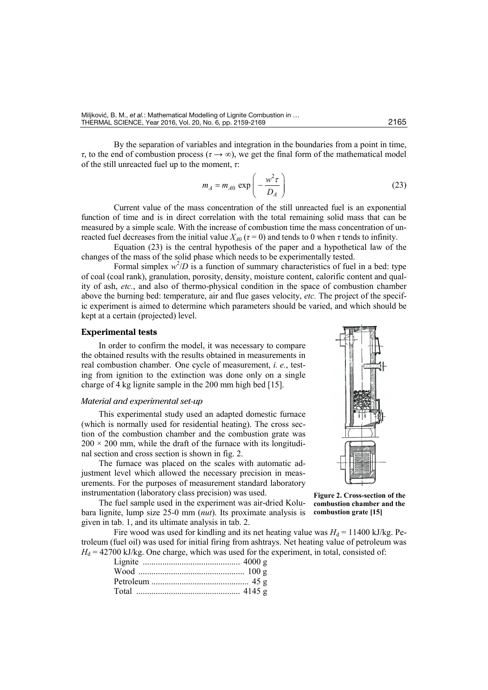By the separation of variables and integration in the boundaries from a point in time, *τ*, to the end of combustion process ( $τ \rightarrow ∞$ ), we get the final form of the mathematical model of the still unreacted fuel up to the moment, *τ*:

$$
m_A = m_{A0} \exp\left(-\frac{w^2 \tau}{D_A}\right) \tag{23}
$$

Current value of the mass concentration of the still unreacted fuel is an exponential function of time and is in direct correlation with the total remaining solid mass that can be measured by a simple scale. With the increase of combustion time the mass concentration of unreacted fuel decreases from the initial value  $X_{A0}$  ( $\tau = 0$ ) and tends to 0 when  $\tau$  tends to infinity.

Equation (23) is the central hypothesis of the paper and a hypothetical law of the changes of the mass of the solid phase which needs to be experimentally tested.

Formal simplex  $w^2/D$  is a function of summary characteristics of fuel in a bed: type of coal (coal rank), granulation, porosity, density, moisture content, calorific content and quality of ash, *etc.*, and also of thermo-physical condition in the space of combustion chamber above the burning bed: temperature, air and flue gases velocity, *etc.* The project of the specific experiment is aimed to determine which parameters should be varied, and which should be kept at a certain (projected) level.

## **Experimental tests**

In order to confirm the model, it was necessary to compare the obtained results with the results obtained in measurements in real combustion chamber. One cycle of measurement, *i. e.*, testing from ignition to the extinction was done only on a single charge of 4 kg lignite sample in the 200 mm high bed [15].

## *Material and experimental set-up*

This experimental study used an adapted domestic furnace (which is normally used for residential heating). The cross section of the combustion chamber and the combustion grate was  $200 \times 200$  mm, while the draft of the furnace with its longitudinal section and cross section is shown in fig. 2.

The furnace was placed on the scales with automatic adjustment level which allowed the necessary precision in measurements. For the purposes of measurement standard laboratory instrumentation (laboratory class precision) was used.

The fuel sample used in the experiment was air-dried Kolubara lignite, lump size 25-0 mm (*nut*). Its proximate analysis is given in tab. 1, and its ultimate analysis in tab. 2.

Fire wood was used for kindling and its net heating value was  $H_d = 11400 \text{ kJ/kg}$ . Petroleum (fuel oil) was used for initial firing from ashtrays. Net heating value of petroleum was  $H_d = 42700$  kJ/kg. One charge, which was used for the experiment, in total, consisted of:



**Figure 2. Cross-section of the combustion chamber and the combustion grate [15]**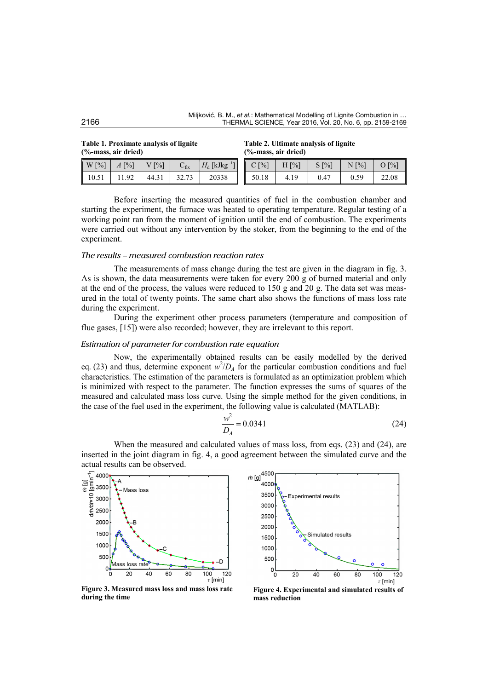**Table 1. Proximate analysis of lignite (%-mass, air dried)**

| Table 2. Ultimate analysis of lignite |  |
|---------------------------------------|--|
| (%-mass, air dried)                   |  |

| $\lceil \frac{9}{6} \rceil$<br>$\mathsf{I} \mathsf{W}$ | $\lceil\% \rceil$<br>A <sub>1</sub> | $\lceil \frac{9}{6} \rceil$ | $\mathbf{C}_{\text{fix}}$ | $_{\rm I}$ [kJkg $^{-1}$<br>$H_{\rm d}$ | $\lceil\% \rceil$ | $H[\%]$ | $S[\%]$ | N [%]      | $\lceil \frac{9}{6} \rceil$ |
|--------------------------------------------------------|-------------------------------------|-----------------------------|---------------------------|-----------------------------------------|-------------------|---------|---------|------------|-----------------------------|
| 10.51                                                  | 1.92                                | 44.31                       | 227<br>32.IS              | 20338                                   | 50.18             | 4.19    | 0.47    | 59<br>0.59 | 22.08                       |

Before inserting the measured quantities of fuel in the combustion chamber and starting the experiment, the furnace was heated to operating temperature. Regular testing of a working point ran from the moment of ignition until the end of combustion. The experiments were carried out without any intervention by the stoker, from the beginning to the end of the experiment.

### *The results – measured combustion reaction rates*

The measurements of mass change during the test are given in the diagram in fig. 3. As is shown, the data measurements were taken for every 200 g of burned material and only at the end of the process, the values were reduced to 150 g and 20 g. The data set was measured in the total of twenty points. The same chart also shows the functions of mass loss rate during the experiment.

During the experiment other process parameters (temperature and composition of flue gases, [15]) were also recorded; however, they are irrelevant to this report.

#### *Estimation of parameter for combustion rate equation*

Now, the experimentally obtained results can be easily modelled by the derived eq. (23) and thus, determine exponent  $w^2/D_A$  for the particular combustion conditions and fuel characteristics. The estimation of the parameters is formulated as an optimization problem which is minimized with respect to the parameter. The function expresses the sums of squares of the measured and calculated mass loss curve. Using the simple method for the given conditions, in the case of the fuel used in the experiment, the following value is calculated (MATLAB):

$$
\frac{w^2}{D_A} = 0.0341\tag{24}
$$

When the measured and calculated values of mass loss, from eqs.  $(23)$  and  $(24)$ , are inserted in the joint diagram in fig. 4, a good agreement between the simulated curve and the actual results can be observed.



 $\frac{1}{2}$  (g)  $\frac{4500}{4000}$ 400 3500 Experimental results 3000 2500 2000 Simulated results 1500 1000 50C  $\frac{1}{\sigma}$  $\overline{20}$  $\overline{40}$  $\overline{60}$  $\overline{80}$  $100$ 120  $\tau$  [min]

**Figure 3. Measured mass loss and mass loss rate during the time**

**Figure 4. Experimental and simulated results of mass reduction**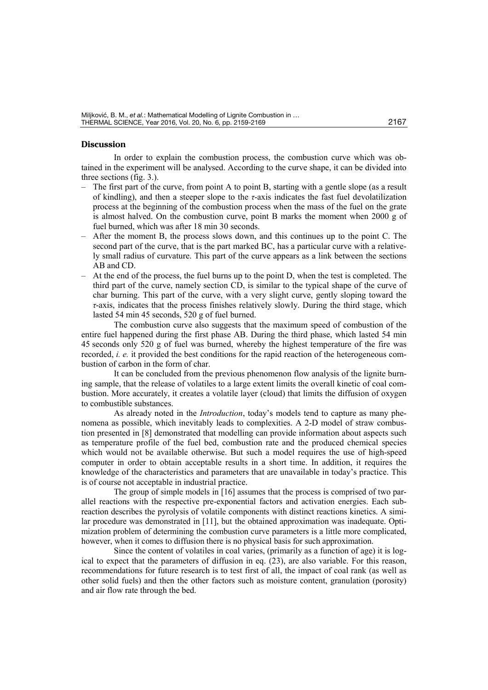#### **Discussion**

In order to explain the combustion process, the combustion curve which was obtained in the experiment will be analysed. According to the curve shape, it can be divided into three sections (fig. 3.).

- The first part of the curve, from point A to point B, starting with a gentle slope (as a result of kindling), and then a steeper slope to the *τ*-axis indicates the fast fuel devolatilization process at the beginning of the combustion process when the mass of the fuel on the grate is almost halved. On the combustion curve, point B marks the moment when 2000 g of fuel burned, which was after 18 min 30 seconds.
- After the moment B, the process slows down, and this continues up to the point C. The second part of the curve, that is the part marked BC, has a particular curve with a relatively small radius of curvature. This part of the curve appears as a link between the sections AB and CD.
- At the end of the process, the fuel burns up to the point D, when the test is completed. The third part of the curve, namely section CD, is similar to the typical shape of the curve of char burning. This part of the curve, with a very slight curve, gently sloping toward the *τ*-axis, indicates that the process finishes relatively slowly. During the third stage, which lasted 54 min 45 seconds, 520 g of fuel burned.

The combustion curve also suggests that the maximum speed of combustion of the entire fuel happened during the first phase AB. During the third phase, which lasted 54 min 45 seconds only 520 g of fuel was burned, whereby the highest temperature of the fire was recorded, *i. e.* it provided the best conditions for the rapid reaction of the heterogeneous combustion of carbon in the form of char.

It can be concluded from the previous phenomenon flow analysis of the lignite burning sample, that the release of volatiles to a large extent limits the overall kinetic of coal combustion. More accurately, it creates a volatile layer (cloud) that limits the diffusion of oxygen to combustible substances.

As already noted in the *Introduction*, today's models tend to capture as many phenomena as possible, which inevitably leads to complexities. A 2-D model of straw combustion presented in [8] demonstrated that modelling can provide information about aspects such as temperature profile of the fuel bed, combustion rate and the produced chemical species which would not be available otherwise. But such a model requires the use of high-speed computer in order to obtain acceptable results in a short time. In addition, it requires the knowledge of the characteristics and parameters that are unavailable in today's practice. This is of course not acceptable in industrial practice.

The group of simple models in [16] assumes that the process is comprised of two parallel reactions with the respective pre-exponential factors and activation energies. Each subreaction describes the pyrolysis of volatile components with distinct reactions kinetics. A similar procedure was demonstrated in [11], but the obtained approximation was inadequate. Optimization problem of determining the combustion curve parameters is a little more complicated, however, when it comes to diffusion there is no physical basis for such approximation.

Since the content of volatiles in coal varies, (primarily as a function of age) it is logical to expect that the parameters of diffusion in eq.  $(23)$ , are also variable. For this reason, recommendations for future research is to test first of all, the impact of coal rank (as well as other solid fuels) and then the other factors such as moisture content, granulation (porosity) and air flow rate through the bed.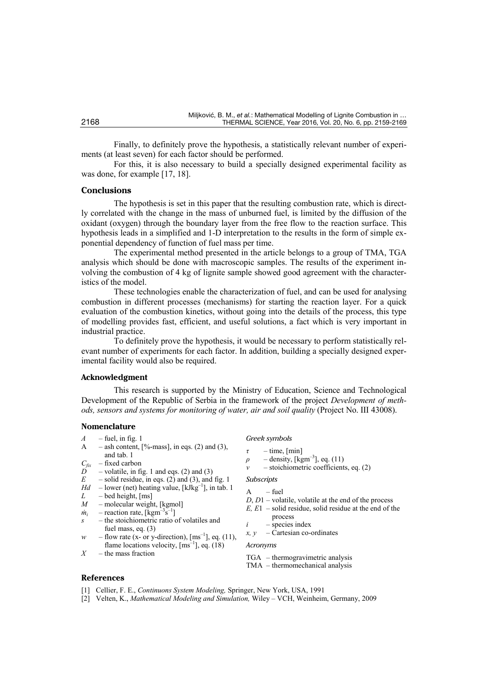Finally, to definitely prove the hypothesis, a statistically relevant number of experiments (at least seven) for each factor should be performed.

For this, it is also necessary to build a specially designed experimental facility as was done, for example [17, 18].

#### **Conclusions**

The hypothesis is set in this paper that the resulting combustion rate, which is directly correlated with the change in the mass of unburned fuel, is limited by the diffusion of the oxidant (oxygen) through the boundary layer from the free flow to the reaction surface. This hypothesis leads in a simplified and 1-D interpretation to the results in the form of simple exponential dependency of function of fuel mass per time.

The experimental method presented in the article belongs to a group of TMA, TGA analysis which should be done with macroscopic samples. The results of the experiment involving the combustion of 4 kg of lignite sample showed good agreement with the characteristics of the model.

These technologies enable the characterization of fuel, and can be used for analysing combustion in different processes (mechanisms) for starting the reaction layer. For a quick evaluation of the combustion kinetics, without going into the details of the process, this type of modelling provides fast, efficient, and useful solutions, a fact which is very important in industrial practice.

To definitely prove the hypothesis, it would be necessary to perform statistically relevant number of experiments for each factor. In addition, building a specially designed experimental facility would also be required.

## **Acknowledgment**

This research is supported by the Ministry of Education, Science and Technological Development of the Republic of Serbia in the framework of the project *Development of methods, sensors and systems for monitoring of water, air and soil quality* (Project No. III 43008).

#### **Nomenclature**

- $A$  fuel, in fig. 1
- $\overline{A}$  ash content, [%-mass], in eqs. (2) and (3), and tab. 1
- $C_{fix}$  fixed carbon<br>*D* volatile in fi
- $\overrightarrow{D}$  volatile, in fig. 1 and eqs. (2) and (3)<br>  $\overrightarrow{F}$  solid residue in eqs. (2) and (3) and
- $-$  solid residue, in eqs. (2) and (3), and fig. 1
- $Hd$  lower (net) heating value,  $[kJkg^{-1}]$ , in tab. 1
- $L$  bed height, [ms]<br> $M$  molecular weigh
- $-$  molecular weight, [kgmol]
- $\dot{m}_i$  reaction rate, [kgm<sup>-3</sup>s<sup>-1</sup>] *s* – the stoichiometric ratio of volatiles and
- fuel mass, eq. (3)
- *w* flow rate (x- or y-direction),  $\text{[ms}^{-1}]$ , eq. (11), flame locations velocity,  ${\rm [ms^{-1}]},$  eq.  $(18)$
- *X* the mass fraction

*Greek symbols*

- *τ* time, [min]
- $\rho$  density, [kgm<sup>-3</sup>], eq. (11)
- *ν* stoichiometric coefficients, eq. (2)

#### *Subscripts*

- $-$  fuel
- *D*, *D*1 volatile, volatile at the end of the process
- *E, E*1 solid residue, solid residue at the end of the
- process *i* – species index
- $x, y$  Cartesian co-ordinates
- 
- *Acronyms*
- TGA thermogravimetric analysis
- TMA thermomechanical analysis

## **References**

- [1] Cellier, F. E., *Continuons System Modeling,* Springer, New York, USA, 1991
- [2] Velten, K., *Mathematical Modeling and Simulation,* Wiley VCH, Weinheim, Germany, 2009